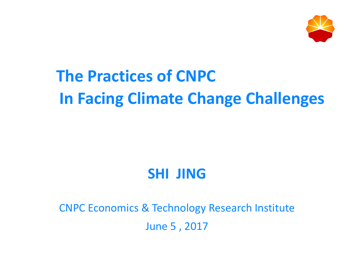

## **In Facing Climate Change Challenges The Practices of CNPC**

### **SHI JING**

### CNPC Economics & Technology Research Institute June 5 , 2017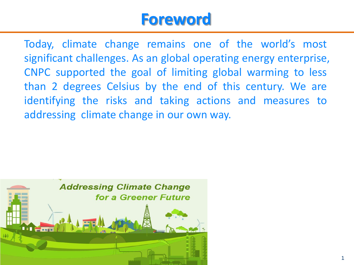### **Foreword**

Today, climate change remains one of the world's most significant challenges. As an global operating energy enterprise, CNPC supported the goal of limiting global warming to less than 2 degrees Celsius by the end of this century. We are identifying the risks and taking actions and measures to addressing climate change in our own way.

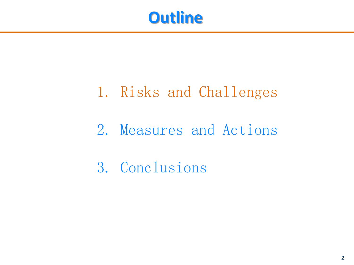

### 1. Risks and Challenges

### 2. Measures and Actions

3. Conclusions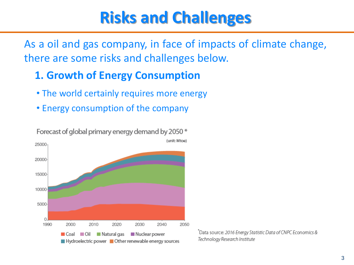### **Risks and Challenges**

As a oil and gas company, in face of impacts of climate change, there are some risks and challenges below.

#### **1. Growth of Energy Consumption**

- The world certainly requires more energy
- Energy consumption of the company



Forecast of global primary energy demand by 2050 \*

\*Data source: 2016 Energy Statistic Data of CNPC Economics & Technology Research Institute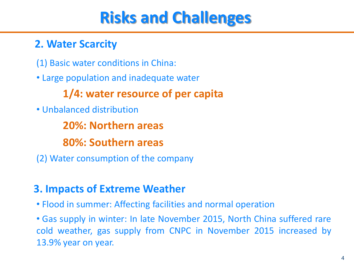### **Risks and Challenges**

#### **2. Water Scarcity**

(1) Basic water conditions in China:

• Large population and inadequate water

### **1/4: water resource of per capita**

• Unbalanced distribution

 **20%: Northern areas**

 **80%: Southern areas**

(2) Water consumption of the company

#### **3. Impacts of Extreme Weather**

• Flood in summer: Affecting facilities and normal operation

• Gas supply in winter: In late November 2015, North China suffered rare cold weather, gas supply from CNPC in November 2015 increased by 13.9% year on year.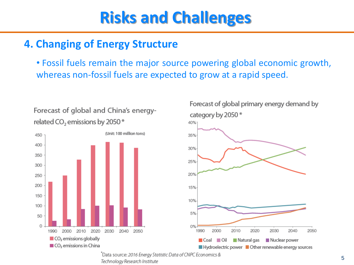### **Risks and Challenges**

#### **4. Changing of Energy Structure**

• Fossil fuels remain the major source powering global economic growth, whereas non-fossil fuels are expected to grow at a rapid speed.



Forecast of global and China's energy-

related CO<sub>2</sub> emissions by 2050<sup>\*</sup>



 $\Box$  Coal  $\Box$  Oil

Hydroelectric power Other renewable energy sources

Natural gas

Nuclear power

Data source: 2016 Energy Statistic Data of CNPC Economics & Technology Research Institute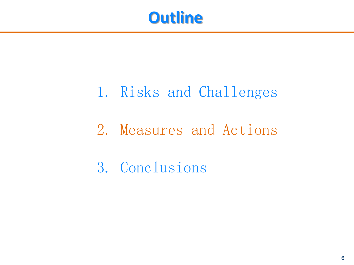

### 1. Risks and Challenges

### 2. Measures and Actions

3. Conclusions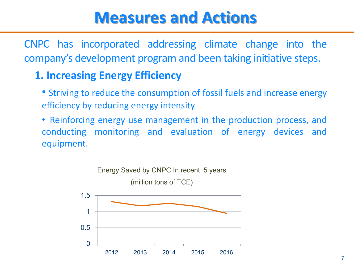CNPC has incorporated addressing climate change into the company's development program and been taking initiative steps.

### **1. Increasing Energy Efficiency**

- Striving to reduce the consumption of fossil fuels and increase energy efficiency by reducing energy intensity
- Reinforcing energy use management in the production process, and conducting monitoring and evaluation of energy devices and equipment.

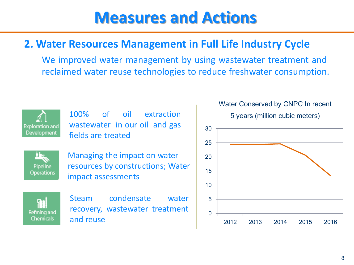#### **2. Water Resources Management in Full Life Industry Cycle**

We improved water management by using wastewater treatment and reclaimed water reuse technologies to reduce freshwater consumption.



100% of oil extraction wastewater in our oil and gas fields are treated

Pipeline **Operations**  Managing the impact on water resources by constructions; Water impact assessments

G. Refining and Chemicals

Steam condensate water recovery, wastewater treatment and reuse



#### Water Conserved by CNPC In recent

5 years (million cubic meters)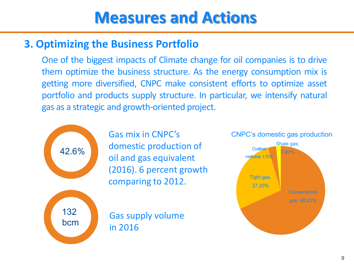#### **3. Optimizing the Business Portfolio**

One of the biggest impacts of Climate change for oil companies is to drive them optimize the business structure. As the energy consumption mix is getting more diversified, CNPC make consistent efforts to optimize asset portfolio and products supply structure. In particular, we intensify natural gas as a strategic and growth-oriented project.



Gas mix in CNPC's domestic production of oil and gas equivalent (2016). 6 percent growth comparing to 2012.

Gas supply volume in 2016

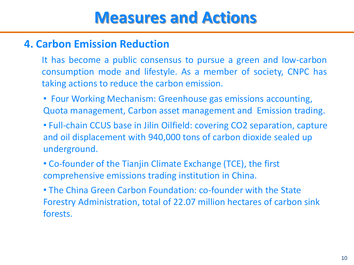#### **4. Carbon Emission Reduction**

It has become a public consensus to pursue a green and low-carbon consumption mode and lifestyle. As a member of society, CNPC has taking actions to reduce the carbon emission.

- Four Working Mechanism: Greenhouse gas emissions accounting, Quota management, Carbon asset management and Emission trading.
- Full-chain CCUS base in Jilin Oilfield: covering CO2 separation, capture and oil displacement with 940,000 tons of carbon dioxide sealed up underground.
- Co-founder of the Tianjin Climate Exchange (TCE), the first comprehensive emissions trading institution in China.
- The China Green Carbon Foundation: co-founder with the State Forestry Administration, total of 22.07 million hectares of carbon sink forests.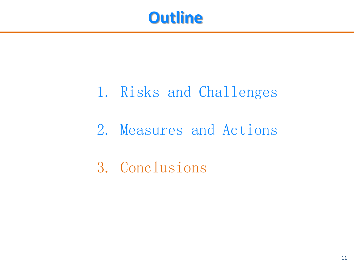

### 1. Risks and Challenges

### 2. Measures and Actions

3. Conclusions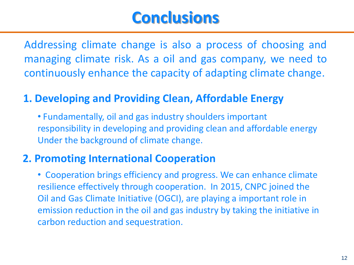### **Conclusions**

Addressing climate change is also a process of choosing and managing climate risk. As a oil and gas company, we need to continuously enhance the capacity of adapting climate change.

#### **1. Developing and Providing Clean, Affordable Energy**

• Fundamentally, oil and gas industry shoulders important responsibility in developing and providing clean and affordable energy Under the background of climate change.

#### **2. Promoting International Cooperation**

• Cooperation brings efficiency and progress. We can enhance climate resilience effectively through cooperation. In 2015, CNPC joined the Oil and Gas Climate Initiative (OGCI), are playing a important role in emission reduction in the oil and gas industry by taking the initiative in carbon reduction and sequestration.